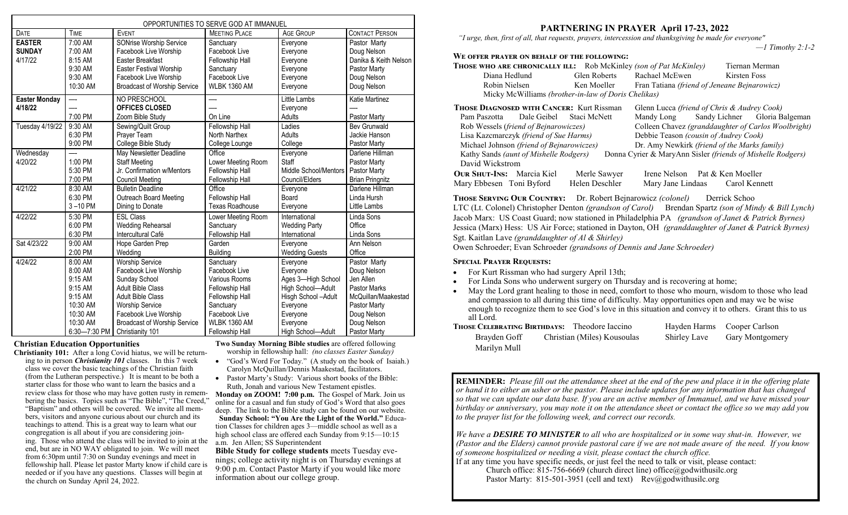| OPPORTUNITIES TO SERVE GOD AT IMMANUEL    |                                                                 |                                                                                                                                                                               |                                                                                                    |                                                                      |                                                                                                    |
|-------------------------------------------|-----------------------------------------------------------------|-------------------------------------------------------------------------------------------------------------------------------------------------------------------------------|----------------------------------------------------------------------------------------------------|----------------------------------------------------------------------|----------------------------------------------------------------------------------------------------|
| DATE                                      | <b>TIME</b>                                                     | <b>EVENT</b>                                                                                                                                                                  | <b>MEETING PLACE</b>                                                                               | <b>AGE GROUP</b>                                                     | <b>CONTACT PERSON</b>                                                                              |
| <b>EASTER</b><br><b>SUNDAY</b><br>4/17/22 | 7:00 AM<br>7:00 AM<br>8:15 AM<br>9:30 AM<br>9:30 AM<br>10:30 AM | <b>SONrise Worship Service</b><br>Facebook Live Worship<br>Easter Breakfast<br><b>Easter Festival Worship</b><br>Facebook Live Worship<br><b>Broadcast of Worship Service</b> | Sanctuary<br>Facebook Live<br>Fellowship Hall<br>Sanctuary<br>Facebook Live<br><b>WLBK 1360 AM</b> | Everyone<br>Everyone<br>Everyone<br>Everyone<br>Everyone<br>Everyone | Pastor Marty<br>Doug Nelson<br>Danika & Keith Nelson<br>Pastor Marty<br>Doug Nelson<br>Doug Nelson |
| Easter Monday<br>4/18/22                  | —-<br>7:00 PM                                                   | NO PRESCHOOL<br><b>OFFICES CLOSED</b><br>Zoom Bible Study                                                                                                                     | On Line                                                                                            | Little Lambs<br>Everyone<br>Adults                                   | Katie Martinez<br>Pastor Marty                                                                     |
| Tuesday 4/19/22                           | 9:30 AM                                                         | Sewing/Quilt Group                                                                                                                                                            | Fellowship Hall                                                                                    | Ladies                                                               | <b>Bev Grunwald</b>                                                                                |
|                                           | 6:30 PM                                                         | Prayer Team                                                                                                                                                                   | North Narthex                                                                                      | Adults                                                               | Jackie Hanson                                                                                      |
|                                           | 9:00 PM                                                         | College Bible Study                                                                                                                                                           | College Lounge                                                                                     | College                                                              | Pastor Marty                                                                                       |
| Wednesday<br>4/20/22                      | 1:00 PM<br>5:30 PM<br>7:00 PM                                   | May Newsletter Deadline<br><b>Staff Meeting</b><br>Jr. Confirmation w/Mentors<br><b>Council Meeting</b>                                                                       | Office<br>Lower Meeting Room<br>Fellowship Hall<br>Fellowship Hall                                 | Everyone<br>Staff<br>Middle School/Mentors<br>Council/Elders         | Darlene Hillman<br>Pastor Marty<br>Pastor Marty<br><b>Brian Pringnitz</b>                          |
| 4/21/22                                   | 8:30 AM                                                         | <b>Bulletin Deadline</b>                                                                                                                                                      | Office                                                                                             | Everyone                                                             | Darlene Hillman                                                                                    |
|                                           | 6:30 PM                                                         | <b>Outreach Board Meeting</b>                                                                                                                                                 | Fellowship Hall                                                                                    | Board                                                                | Linda Hursh                                                                                        |
|                                           | $3 - 10$ PM                                                     | Dining to Donate                                                                                                                                                              | <b>Texas Roadhouse</b>                                                                             | Everyone                                                             | <b>Little Lambs</b>                                                                                |
| 4/22/22                                   | 5:30 PM                                                         | <b>FSI Class</b>                                                                                                                                                              | Lower Meeting Room                                                                                 | International                                                        | Linda Sons                                                                                         |
|                                           | 6:00 PM                                                         | <b>Wedding Rehearsal</b>                                                                                                                                                      | Sanctuary                                                                                          | <b>Wedding Party</b>                                                 | Office                                                                                             |
|                                           | 6:30 PM                                                         | Intercultural Café                                                                                                                                                            | Fellowship Hall                                                                                    | International                                                        | Linda Sons                                                                                         |
| Sat 4/23/22                               | 9:00 AM                                                         | Hope Garden Prep                                                                                                                                                              | Garden                                                                                             | Everyone                                                             | Ann Nelson                                                                                         |
|                                           | 2:00 PM                                                         | Wedding                                                                                                                                                                       | <b>Building</b>                                                                                    | <b>Wedding Guests</b>                                                | Office                                                                                             |
| 4/24/22                                   | 8:00 AM                                                         | <b>Worship Service</b>                                                                                                                                                        | Sanctuary                                                                                          | Everyone                                                             | Pastor Marty                                                                                       |
|                                           | 8:00 AM                                                         | Facebook Live Worship                                                                                                                                                         | Facebook Live                                                                                      | Everyone                                                             | Doug Nelson                                                                                        |
|                                           | 9:15 AM                                                         | Sunday School                                                                                                                                                                 | Various Rooms                                                                                      | Ages 3-High School                                                   | Jen Allen                                                                                          |
|                                           | 9:15 AM                                                         | Adult Bible Class                                                                                                                                                             | Fellowship Hall                                                                                    | High School-Adult                                                    | <b>Pastor Marks</b>                                                                                |
|                                           | 9:15 AM                                                         | <b>Adult Bible Class</b>                                                                                                                                                      | Fellowship Hall                                                                                    | Hisgh School-Adult                                                   | McQuillan/Maakestad                                                                                |
|                                           | 10:30 AM                                                        | <b>Worship Service</b>                                                                                                                                                        | Sanctuary                                                                                          | Everyone                                                             | Pastor Marty                                                                                       |
|                                           | 10:30 AM                                                        | Facebook Live Worship                                                                                                                                                         | Facebook Live                                                                                      | Everyone                                                             | Doug Nelson                                                                                        |
|                                           | 10:30 AM                                                        | <b>Broadcast of Worship Service</b>                                                                                                                                           | <b>WLBK 1360 AM</b>                                                                                | Everyone                                                             | Doug Nelson                                                                                        |
|                                           | 6:30-7:30 PM                                                    | Christianity 101                                                                                                                                                              | Fellowship Hall                                                                                    | High School-Adult                                                    | Pastor Marty                                                                                       |

#### **Christian Education Opportunities**

**Christianity 101:** After a long Covid hiatus, we will be returning to in person *Christianity 101* classes. In this 7 week class we cover the basic teachings of the Christian faith (from the Lutheran perspective.) It is meant to be both a starter class for those who want to learn the basics and a review class for those who may have gotten rusty in remembering the basics. Topics such as "The Bible", "The Creed," "Baptism" and others will be covered. We invite all members, visitors and anyone curious about our church and its teachings to attend. This is a great way to learn what our congregation is all about if you are considering joining. Those who attend the class will be invited to join at the end, but are in NO WAY obligated to join. We will meet from 6:30pm until 7:30 on Sunday evenings and meet in fellowship hall. Please let pastor Marty know if child care is needed or if you have any questions. Classes will begin at the church on Sunday April 24, 2022.

**Two Sunday Morning Bible studies** are offered following worship in fellowship hall: *(no classes Easter Sunday)*

- "God's Word For Today." (A study on the book of Isaiah.) Carolyn McQuillan/Dennis Maakestad, facilitators.
- Pastor Marty's Study: Various short books of the Bible: Ruth, Jonah and various New Testament epistles.

**Monday on ZOOM! 7:00 p.m.** The Gospel of Mark. Join us online for a casual and fun study of God's Word that also goes deep. The link to the Bible study can be found on our website. **Sunday School: "You Are the Light of the World."** Education Classes for children ages 3—middle school as well as a high school class are offered each Sunday from 9:15-10:15 a.m. Jen Allen; SS Superintendent

**Bible Study for college students** meets Tuesday evenings; college activity night is on Thursday evenings at 9:00 p.m. Contact Pastor Marty if you would like more information about our college group.

## **PARTNERING IN PRAYER April 17-23, 2022**

 *"I urge, then, first of all, that requests, prayers, intercession and thanksgiving be made for everyone"* 

*—1 Timothy 2:1-2*

### **We offer prayer on behalf of the following:**

| <b>THOSE WHO ARE CHRONICALLY ILL:</b> Rob McKinley <i>(son of Pat McKinley)</i> |                                              |                                              |              | Tiernan Merman                                      |
|---------------------------------------------------------------------------------|----------------------------------------------|----------------------------------------------|--------------|-----------------------------------------------------|
| Diana Hedlund                                                                   | Glen Roberts                                 | Rachael McEwen                               | Kirsten Foss |                                                     |
| Robin Nielsen                                                                   | Ken Moeller                                  | Fran Tatiana (friend of Jeneane Bejnarowicz) |              |                                                     |
| Micky McWilliams (brother-in-law of Doris Chelikas)                             |                                              |                                              |              |                                                     |
| <b>THOSE DIAGNOSED WITH CANCER:</b> Kurt Rissman                                |                                              | Glenn Lucca (friend of Chris & Audrey Cook)  |              |                                                     |
| Pam Paszotta Dale Geibel Staci McNett                                           |                                              |                                              |              | Mandy Long Sandy Lichner Gloria Balgeman            |
| Rob Wessels (friend of Bejnarowiczes)                                           |                                              |                                              |              | Colleen Chavez (granddaughter of Carlos Woolbright) |
| Lisa Kazcmarczyk (friend of Sue Harms)                                          |                                              | Debbie Teason (cousin of Audrey Cook)        |              |                                                     |
| Michael Johnson (friend of Bejnarowiczes)                                       | Dr. Amy Newkirk (friend of the Marks family) |                                              |              |                                                     |

Kathy Sands *(aunt of Mishelle Rodgers)* Donna Cyrier & MaryAnn Sisler *(friends of Mishelle Rodgers)* David Wickstrom

| <b>OUR SHUT-INS:</b> Marcia Kiel | Merle Sawyer   | Irene Nelson Pat & Ken Moeller |               |
|----------------------------------|----------------|--------------------------------|---------------|
| Mary Ebbesen Toni Byford         | Helen Deschler | Mary Jane Lindaas              | Carol Kennett |

**Those Serving Our Country:** Dr. Robert Bejnarowicz *(colonel)* Derrick Schoo LTC (Lt. Colonel) Christopher Denton *(grandson of Carol)* Brendan Spartz *(son of Mindy & Bill Lynch)* Jacob Marx: US Coast Guard; now stationed in Philadelphia PA *(grandson of Janet & Patrick Byrnes)* Jessica (Marx) Hess: US Air Force; stationed in Dayton, OH *(granddaughter of Janet & Patrick Byrnes)* Sgt. Kaitlan Lave *(granddaughter of Al & Shirley)* 

Owen Schroeder; Evan Schroeder *(grandsons of Dennis and Jane Schroeder)*

#### **Special Prayer Requests:**

- For Kurt Rissman who had surgery April 13th;
- For Linda Sons who underwent surgery on Thursday and is recovering at home;
- May the Lord grant healing to those in need, comfort to those who mourn, wisdom to those who lead and compassion to all during this time of difficulty. May opportunities open and may we be wise enough to recognize them to see God's love in this situation and convey it to others. Grant this to us all Lord.

|              | <b>THOSE CELEBRATING BIRTHDAYS:</b> Theodore Iaccino |              | Hayden Harms Cooper Carlson |
|--------------|------------------------------------------------------|--------------|-----------------------------|
| Brayden Goff | Christian (Miles) Kousoulas                          | Shirley Lave | <b>Gary Montgomery</b>      |
| Marilyn Mull |                                                      |              |                             |

**REMINDER:** *Please fill out the attendance sheet at the end of the pew and place it in the offering plate or hand it to either an usher or the pastor. Please include updates for any information that has changed so that we can update our data base. If you are an active member of Immanuel, and we have missed your birthday or anniversary, you may note it on the attendance sheet or contact the office so we may add you to the prayer list for the following week, and correct our records.* 

*We have a DESIRE TO MINISTER to all who are hospitalized or in some way shut-in. However, we (Pastor and the Elders) cannot provide pastoral care if we are not made aware of the need. If you know of someone hospitalized or needing a visit, please contact the church office.* 

If at any time you have specific needs, or just feel the need to talk or visit, please contact: Church office:  $815-756-6669$  (church direct line) office@godwithusilc.org Pastor Marty: 815-501-3951 (cell and text) Rev@godwithusilc.org